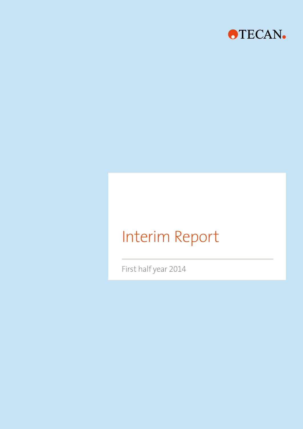

# Interim Report

First half year 2014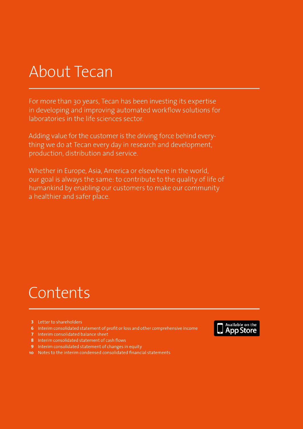# About Tecan

For more than 30 years, Tecan has been investing its expertise in developing and improving automated workflow solutions for laboratories in the life sciences sector.

Adding value for the customer is the driving force behind everything we do at Tecan every day in research and development, production, distribution and service.

Whether in Europe, Asia, America or elsewhere in the world, our goal is always the same: to contribute to the quality of life of humankind by enabling our customers to make our community a healthier and safer place.

# Contents

- **3** Letter to shareholders
- **6** Interim consolidated statement of profit or loss and other comprehensive income
- **7** Interim consolidated balance sheet
- **8** Interim consolidated statement of cash flows
- **9** Interim consolidated statement of changes in equity
- **10** Notes to the interim condensed consolidated financial statements

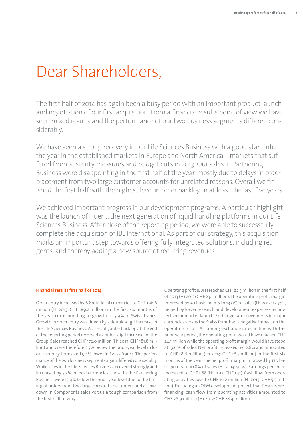# Dear Shareholders,

The first half of 2014 has again been a busy period with an important product launch and negotiation of our first acquisition. From a financial results point of view we have seen mixed results and the performance of our two business segments differed considerably.

We have seen a strong recovery in our Life Sciences Business with a good start into the year in the established markets in Europe and North America – markets that suffered from austerity measures and budget cuts in 2013. Our sales in Partnering Business were disappointing in the first half of the year, mostly due to delays in order placement from two large customer accounts for unrelated reasons. Overall we finished the first half with the highest level in order backlog in at least the last five years.

We achieved important progress in our development programs. A particular highlight was the launch of Fluent, the next generation of liquid handling platforms in our Life Sciences Business. After close of the reporting period, we were able to successfully complete the acquisition of IBL International. As part of our strategy, this acquisition marks an important step towards offering fully integrated solutions, including reagents, and thereby adding a new source of recurring revenues.

#### **Financial results first half of 2014**

Order entry increased by 6.8% in local currencies to CHF 196.6 million (H1 2013: CHF 189.2 million) in the first six months of the year, corresponding to growth of 3.9% in Swiss francs. Growth in order entry was driven by a double-digit increase in the Life Sciences Business.As a result, order backlog at the end of the reporting period recorded a double-digit increase for the Group. Sales reached CHF 172.0 million (H1 2013:CHF 181.8 million) and were therefore 2.7% below the prior-year level in local currency terms and 5.4% lower in Swiss francs.The performance of the two business segments again differed considerably. While sales in the Life Sciences Business recovered strongly and increased by 7.2% in local currencies, those in the Partnering Business were 13.9% below the prior-year level due to the timing of orders from two large corporate customers and a slowdown in Components sales versus a tough comparison from the first half of 2013.

Operating profit (EBIT) reached CHF 22.3 million in the first half of 2013 (H1 2013: CHF 23.1 million). The operating profit margin improved by 30 basis points to 13.0% of sales (H1 2013: 12.7%), helped by lower research and development expenses as projects near market launch. Exchange rate movements in major currencies versus the Swiss franc had a negative impact on the operating result. Assuming exchange rates in line with the prior-year period, the operating profit would have reached CHF 24.1 million while the operating profit margin would have stood at 13.6% of sales. Net profit increased by 12.8% and amounted to CHF 18.6 million (H1 2013: CHF 16.5 million) in the first six months of the year.The net profit margin improved by 170 basis points to 10.8% of sales (H1 2013: 9.1%). Earnings per share increased to CHF 1.68 (H1 2013: CHF 1.51). Cash flow from operating activities rose to CHF 16.2 million (H1 2013: CHF 5.5 million). Excluding an OEM development project that Tecan is prefinancing, cash flow from operating activities amounted to CHF 28.9 million (H1 2013: CHF 28.4 million).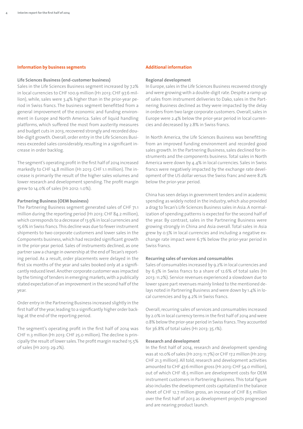#### **Information by business segments**

#### **Life Sciences Business (end-customer business)**

Sales in the Life Sciences Business segment increased by 7.2% in local currencies to CHF 100.9 million (H1 2013: CHF 97.6 million), while, sales were 3.4% higher than in the prior-year period in Swiss francs. The business segment benefitted from a general improvement of the economic and funding environment in Europe and North America. Sales of liquid handling platforms, which suffered the most from austerity measures and budget cuts in 2013, recovered strongly and recorded double-digit growth. Overall, order entry in the Life Sciences Business exceeded sales considerably, resulting in a significant increase in order backlog.

The segment's operating profit in the first half of 2014 increased markedly to CHF 14.8 million (H1 2013: CHF 1.1 million). The increase is primarily the result of the higher sales volumes and lower research and development spending.The profit margin grew to 14.0% of sales (H1 2012:1.0%).

#### **Partnering Business (OEM business)**

The Partnering Business segment generated sales of CHF 71.1 million during the reporting period (H1 2013:CHF 84.2 million), which corresponds to a decrease of 13.9% in local currencies and 15.6% in Swiss francs.This decline was due to fewerinstrument shipments to two corporate customers and lower sales in the Components business,which had recorded significant growth in the prior-year period. Sales of instruments declined, as one partner saw a change in ownership at the end of Tecan's reporting period. As a result, order placements were delayed in the first six months of the year and sales booked only at a significantly reduced level.Another corporate customer was impacted by the timing of tenders in emerging markets, with a publically stated expectation of an improvement in the second half of the year.

Order entry in the Partnering Business increased slightly in the first half of the year, leading to a significantly higher order backlog at the end of the reporting period.

The segment's operating profit in the first half of 2014 was CHF 11.3 million (H1 2013: CHF 25.0 million).The decline is principally the result oflower sales.The profit margin reached 15.5% of sales (H1 2013: 29.2%).

#### **Additional information**

#### **Regional development**

In Europe, sales in the Life Sciences Business recovered strongly and were growing with a double-digit rate.Despite a ramp up of sales from instrument deliveries to Dako, sales in the Partnering Business declined as they were impacted by the delay in orders from two large corporate customers. Overall, sales in Europe were 2.4% below the prior-year period in local currencies and decreased by 2.8% in Swiss francs.

In North America, the Life Sciences Business was benefitting from an improved funding environment and recorded good sales growth. In the Partnering Business, sales declined for instruments and the components business. Total sales in North America were down by 4.4% in local currencies. Sales in Swiss francs were negatively impacted by the exchange rate development of the US dollar versus the Swiss franc and were 8.2% below the prior-year period.

China has seen delays in government tenders and in academic spending as widely noted in the industry, which also provided a drag to Tecan's Life Sciences Business sales in Asia. A normalization of spending patterns is expected for the second half of the year. By contrast, sales in the Partnering Business were growing strongly in China and Asia overall. Total sales in Asia grew by 0.5% in local currencies and including a negative exchange rate impact were 6.7% below the prior-year period in Swiss francs.

#### **Recurring sales of services and consumables**

Sales of consumables increased by 9.2% in local currencies and by 6.3% in Swiss francs to a share of 12.6% of total sales (H1 2013:11.2%). Service revenues experienced a slowdown due to lower spare part revenues mainly linked to the mentioned delays noted in Partnering Business and were down by 1.4% in local currencies and by 4.2% in Swiss francs.

Overall, recurring sales of services and consumables increased by 2.0% in local currency terms in the first half of 2014 and were 0.8% below the prior-year period in Swiss francs.They accounted for 36.8% of total sales (H1 2013: 35.1%).

#### **Research and development**

In the first half of 2014, research and development spending was at 10.0% of sales (H1 2013:11.7%) or CHF 17.2 million (H1 2013: CHF 21.3 million). All told,research and development activities amounted to CHF 47.6 million gross (H1 2013:CHF 54.0 million), out of which CHF 18.5 million are development costs for OEM instrument customers in Partnering Business.This total figure also includes the development costs capitalized in the balance sheet of CHF 12.7 million gross, an increase of CHF 8.5 million over the first half of 2013 as development projects progressed and are nearing product launch.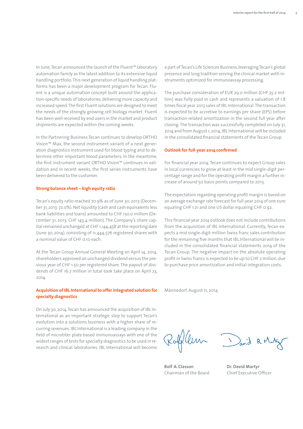In June,Tecan announced the launch of the Fluent™ laboratory automation family as the latest addition to its extensive liquid handling portfolio. This next generation of liquid handling platforms has been a major development program for Tecan. Fluent is a unique automation concept built around the application-specific needs of laboratories, delivering more capacity and increased speed.The first Fluent solutions are designed to meet the needs of the strongly growing cell biology market. Fluent has been well received by end users in the market and product shipments are expected within the coming weeks.

In the Partnering Business Tecan continues to develop ORTHO Vision™ Max, the second instrument variant of a next generation diagnostics instrument used for blood typing and to determine other important blood parameters. In the meantime, the first instrument variant ORTHO Vision™ continues in validation and in recent weeks, the first series instruments have been delivered to the customer.

#### **Strong balance sheet – high equity ratio**

Tecan's equity ratio reached 70.9% as of June 30, 2013 (December 31, 2013: 72.0%).Net liquidity (cash and cash equivalents less bank liabilities and loans) amounted to CHF 130.0 million (December 31, 2013: CHF 143.4 million). The Company's share capital remained unchanged at CHF 1,144,458 at the reporting date (June 30, 2014), consisting of 11,444,576 registered shares with a nominal value of CHF 0.10 each.

At the Tecan Group Annual General Meeting on April 14, 2014, shareholders approved an unchanged dividend versus the previous year of CHF 1.50 per registered share. The payout of dividends of CHF 16.7 million in total took take place on April 23, 2014.

#### **Acquisition ofIBL Internationalto offerintegrated solution for specialty diagnostics**

On July 30, 2014, Tecan has announced the acquisition of IBL International as an important strategic step to support Tecan's evolution into a solutions business with a higher share of recurring revenues. IBL International is a leading company in the field of microtiter plate based immunoassays with one of the widest ranges of tests for specialty diagnostics to be used in research and clinical laboratories. IBL International will become

a part ofTecan's Life Sciences Business,leveragingTecan's global presence and long tradition serving the clinical market with instruments optimized for immunoassay processing.

The purchase consideration of EUR 29.0 million (CHF 35.2 million) was fully paid in cash and represents a valuation of 1.8 times fiscal year 2013 sales of IBL International. The transaction is expected to be accretive to earnings per share (EPS) before transaction-related amortization in the second full year after closing.The transaction was successfully completed on July 31, 2014 and from August 1, 2014,IBL International will be included in the consolidated financial statements of the Tecan Group.

#### **Outlook for full-year 2014 confirmed**

For financial year 2014, Tecan continues to expect Group sales in local currencies to grow at least in the mid single-digit percentage range and for the operating profit margin a further increase of around 50 basis points compared to 2013.

The expectation regarding operating profit margin is based on an average exchange rate forecast for full-year 2014 of one euro equaling CHF 1.21 and one US dollar equaling CHF 0.92.

This financial year 2014 outlook does not include contributions from the acquisition of IBL International. Currently, Tecan expects a mid single-digit million Swiss franc sales contribution for the remaining five months that IBL International will be included in the consolidated financial statements 2014 of the Tecan Group. The negative impact on the absolute operating profit in Swiss francs is expected to be up to CHF 2 million, due to purchase price amortization and initial integration costs.

Männedorf, August 11, 2014

Rofflem

**Rolf A.Classon** Chairman of the Board

David R.M

**Dr.David Martyr** Chief Executive Officer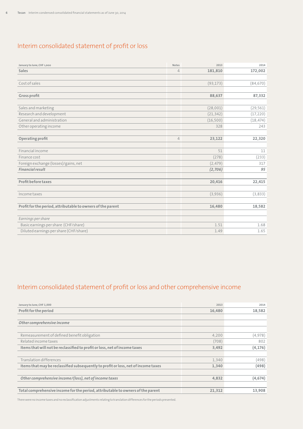# Interim consolidated statement of profit or loss

| January to June, CHF 1,000                                  | <b>Notes</b>   | 2013      | 2014      |
|-------------------------------------------------------------|----------------|-----------|-----------|
| Sales                                                       | $\overline{4}$ | 181,810   | 172,002   |
|                                                             |                |           |           |
| Cost of sales                                               |                | (93, 173) | (84, 670) |
|                                                             |                |           |           |
| Gross profit                                                |                | 88,637    | 87,332    |
|                                                             |                |           |           |
| Sales and marketing                                         |                | (28,001)  | (29, 561) |
| Research and development                                    |                | (21, 342) | (17, 220) |
| General and administration                                  |                | (16, 500) | (18, 474) |
| Other operating income                                      |                | 328       | 243       |
|                                                             |                |           |           |
| Operating profit                                            | $\overline{4}$ | 23,122    | 22,320    |
|                                                             |                |           |           |
| Financial income                                            |                | 51        | 11        |
| Finance cost                                                |                | (278)     | (233)     |
| Foreign exchange (losses)/gains, net                        |                | (2, 479)  | 317       |
| <b>Financial result</b>                                     |                | (2,706)   | 95        |
|                                                             |                |           |           |
| <b>Profit before taxes</b>                                  |                | 20,416    | 22,415    |
|                                                             |                |           |           |
| Income taxes                                                |                | (3,936)   | (3,833)   |
|                                                             |                |           |           |
| Profit for the period, attributable to owners of the parent |                | 16,480    | 18,582    |
|                                                             |                |           |           |
| Earnings per share                                          |                |           |           |
| Basic earnings per share (CHF/share)                        |                | 1.51      | 1.68      |
| Diluted earnings per share (CHF/share)                      |                | 1.49      | 1.65      |

# Interim consolidated statement of profit or loss and other comprehensive income

| January to June, CHF 1,000                                                         | 2013   | 2014     |
|------------------------------------------------------------------------------------|--------|----------|
| Profit for the period                                                              | 16,480 | 18,582   |
|                                                                                    |        |          |
| Other comprehensive income                                                         |        |          |
|                                                                                    |        |          |
| Remeasurement of defined benefit obligation                                        | 4.200  | (4,978)  |
| Related income taxes                                                               | (708)  | 802      |
| Items that will not be reclassified to profit or loss, net of income taxes         | 3,492  | (4, 176) |
|                                                                                    |        |          |
| <b>Translation differences</b>                                                     | 1,340  | (498)    |
| Items that may be reclassified subsequently to profit or loss, net of income taxes | 1,340  | (498)    |
|                                                                                    |        |          |
| Other comprehensive income/(loss), net of income taxes                             | 4,832  | (4, 674) |
|                                                                                    |        |          |
| Total comprehensive income for the period, attributable to owners of the parent    | 21,312 | 13,908   |

Therewerenoincometaxesandnoreclassificationadjustments relatingtotranslationdifferences fortheperiodspresented.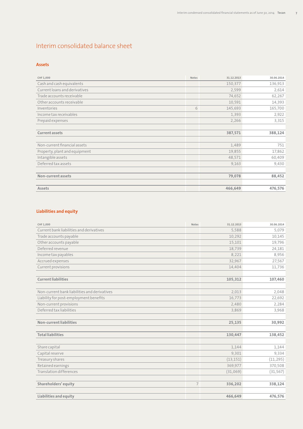# Interim consolidated balance sheet

## **Assets**

| CHF 1,000                     | Notes | 31.12.2013 | 30.06.2014 |
|-------------------------------|-------|------------|------------|
| Cash and cash equivalents     |       | 150,377    | 136,913    |
| Current loans and derivatives |       | 2,599      | 2,614      |
| Trade accounts receivable     |       | 74,652     | 62,267     |
| Other accounts receivable     |       | 10,591     | 14,393     |
| Inventories                   | 6     | 145,693    | 165,700    |
| Income tax receivables        |       | 1,393      | 2,922      |
| Prepaid expenses              |       | 2,266      | 3,315      |
|                               |       |            |            |
| <b>Current assets</b>         |       | 387,571    | 388,124    |
|                               |       |            |            |
| Non-current financial assets  |       | 1,489      | 751        |
| Property, plant and equipment |       | 19,855     | 17,862     |
| Intangible assets             |       | 48,571     | 60,409     |
| Deferred tax assets           |       | 9,163      | 9,430      |
|                               |       |            |            |
| Non-current assets            |       | 79,078     | 88,452     |
|                               |       |            |            |
| Assets                        |       | 466,649    | 476,576    |

# **Liabilities and equity**

| CHF 1,000                                    | <b>Notes</b>   | 31.12.2013 | 30.06.2014 |
|----------------------------------------------|----------------|------------|------------|
| Current bank liabilities and derivatives     |                | 5,588      | 5,079      |
| Trade accounts payable                       |                | 10,292     | 10,145     |
| Other accounts payable                       |                | 15,101     | 19,796     |
| Deferred revenue                             |                | 18,739     | 24,181     |
| Income tax payables                          |                | 8,221      | 8,956      |
| Accrued expenses                             |                | 32,967     | 27,567     |
| Current provisions                           |                | 14,404     | 11,736     |
| <b>Current liabilities</b>                   |                | 105,312    | 107,460    |
|                                              |                |            |            |
| Non-current bank liabilities and derivatives |                | 2,013      | 2,048      |
| Liability for post-employment benefits       |                | 16,773     | 22,692     |
| Non-current provisions                       |                | 2,480      | 2,284      |
| Deferred tax liabilities                     |                | 3,869      | 3,968      |
|                                              |                |            |            |
| <b>Non-current liabilities</b>               |                | 25,135     | 30,992     |
| <b>Total liabilities</b>                     |                | 130,447    | 138,452    |
| Share capital                                |                | 1,144      | 1,144      |
| Capital reserve                              |                | 9,301      | 9,334      |
| Treasury shares                              |                | (13, 151)  | (11, 295)  |
| Retained earnings                            |                | 369,977    | 370,508    |
| <b>Translation differences</b>               |                | (31,069)   | (31, 567)  |
|                                              |                |            |            |
| Shareholders' equity                         | $\overline{7}$ | 336,202    | 338,124    |
| Liabilities and equity                       |                | 466,649    | 476,576    |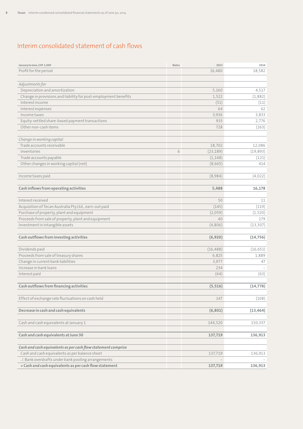# Interim consolidated statement of cash flows

| January to June, CHF 1,000                                      | Notes | 2013      | 2014      |
|-----------------------------------------------------------------|-------|-----------|-----------|
| Profit for the period                                           |       | 16,480    | 18.582    |
|                                                                 |       |           |           |
| Adjustments for                                                 |       |           |           |
| Depreciation and amortization                                   |       | 5,160     | 4,517     |
| Change in provisions and liability for post-employment benefits |       | 1,522     | (1,882)   |
| Interest income                                                 |       | (51)      | (11)      |
| Interest expenses                                               |       | 64        | 62        |
| Income taxes                                                    |       | 3,936     | 3,833     |
| Equity-settled share-based payment transactions                 |       | 933       | 2,776     |
| Other non-cash items                                            |       | 728       | (163)     |
|                                                                 |       |           |           |
| Change in working capital                                       |       |           |           |
| Trade accounts receivable                                       |       | 18,702    | 12,086    |
| Inventories                                                     | 6     | (23, 189) | (19, 893) |
| Trade accounts payable                                          |       | (1, 148)  | (121)     |
| Other changes in working capital (net)                          |       | (8,665)   | 414       |
|                                                                 |       |           |           |
| Income taxes paid                                               |       | (8,984)   | (4,022)   |
|                                                                 |       |           |           |
| Cash inflows from operating activities                          |       | 5,488     | 16,178    |
|                                                                 |       |           |           |
| Interest received                                               |       | 50        | 11        |
| Acquisition of Tecan Australia Pty Ltd., earn-out paid          |       | (145)     | (119)     |
| Purchase of property, plant and equipment                       |       | (2,059)   | (1,520)   |
| Proceeds from sale of property, plant and equipment             |       | 40        | 179       |
| Investment in intangible assets                                 |       | (4,806)   | (13, 307) |
|                                                                 |       |           |           |
| Cash outflows from investing activities                         |       | (6,920)   | (14, 756) |
|                                                                 |       |           |           |
| Dividends paid                                                  |       | (16, 488) | (16, 651) |
| Proceeds from sale of treasury shares                           |       | 6,825     | 1,889     |
| Change in current bank liabilities                              |       | 3,977     | 47        |
| Increase in bank loans                                          |       | 234       |           |
| Interest paid                                                   |       | (64)      | (63)      |
|                                                                 |       |           |           |
| Cash outflows from financing activities                         |       | (5, 516)  | (14, 778) |
|                                                                 |       |           |           |
| Effect of exchange rate fluctuations on cash held               |       | 147       | (108)     |
|                                                                 |       |           |           |
| Decrease in cash and cash equivalents                           |       | (6, 801)  | (13, 464) |
| Cash and cash equivalents at January 1                          |       | 144,520   | 150,337   |
|                                                                 |       |           |           |
| Cash and cash equivalents at June 30                            |       | 137,719   | 136,913   |
|                                                                 |       |           |           |
| Cash and cash equivalents as per cash flow statement comprise   |       |           |           |
| Cash and cash equivalents as per balance sheet                  |       | 137,719   | 136,913   |
| ./. Bank overdrafts under bank pooling arrangements             |       |           |           |
| = Cash and cash equivalents as per cash flow statement          |       | 137,719   | 136,913   |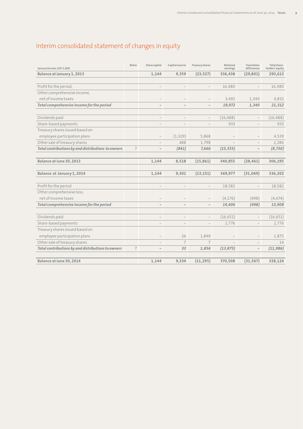# Interim consolidated statement of changes in equity

| January to June, CHF 1,000                         | <b>Notes</b>   | Share capital            | Capital reserve          | <b>Treasury shares</b>   | Retained<br>earnings | Translation<br>differences | Total share-<br>holders' equity |
|----------------------------------------------------|----------------|--------------------------|--------------------------|--------------------------|----------------------|----------------------------|---------------------------------|
| Balance at January 1, 2013                         |                | 1,144                    | 9,359                    | (23, 527)                | 336,438              | (29, 801)                  | 293,613                         |
|                                                    |                |                          |                          |                          |                      |                            |                                 |
| Profit for the period,                             |                | $\overline{\phantom{0}}$ | $\overline{\phantom{0}}$ | $\qquad \qquad -$        | 16,480               | $\overline{a}$             | 16,480                          |
| Other comprehensive income,                        |                |                          |                          |                          |                      |                            |                                 |
| net of income taxes                                |                |                          |                          |                          | 3,492                | 1,340                      | 4.832                           |
| Total comprehensive income for the period          |                | $\qquad \qquad -$        | $\qquad \qquad -$        | $\qquad \qquad -$        | 19,972               | 1,340                      | 21,312                          |
| Dividends paid                                     |                | $\overline{\phantom{0}}$ | $\overline{\phantom{0}}$ | $\overline{\phantom{0}}$ | (16, 488)            | $\overline{\phantom{0}}$   | (16, 488)                       |
| Share-based payments                               |                |                          |                          |                          | 933                  |                            | 933                             |
| Treasury shares issued based on                    |                |                          |                          |                          |                      |                            |                                 |
| employee participation plans                       |                |                          | (1, 329)                 | 5,868                    |                      |                            | 4,539                           |
| Other sale of treasury shares                      |                | $\overline{\phantom{0}}$ | 488                      | 1,798                    |                      | $\overline{a}$             | 2,286                           |
| Total contributions by and distributions to owners | $\overline{7}$ | $\overline{\phantom{0}}$ | (841)                    | 7,666                    | (15, 555)            | $\overline{\phantom{0}}$   | (8, 730)                        |
|                                                    |                |                          |                          |                          |                      |                            |                                 |
| Balance at June 30, 2013                           |                | 1,144                    | 8,518                    | (15, 861)                | 340,855              | (28, 461)                  | 306,195                         |
| Balance at January 1, 2014                         |                | 1,144                    | 9,301                    | (13, 151)                | 369,977              | (31,069)                   | 336,202                         |
| Profit for the period                              |                | $\qquad \qquad -$        |                          | $\qquad \qquad -$        | 18,582               |                            | 18,582                          |
| Other comprehensive loss,                          |                |                          |                          |                          |                      |                            |                                 |
| net of income taxes                                |                |                          |                          |                          | (4, 176)             | (498)                      | (4,674)                         |
| Total comprehensive income for the period          |                | $\overline{\phantom{0}}$ |                          | $\bar{}$                 | 14,406               | (498)                      | 13,908                          |
| Dividends paid                                     |                | $\qquad \qquad -$        | $\qquad \qquad -$        | $\overline{\phantom{0}}$ | (16, 651)            | $\qquad \qquad -$          | (16, 651)                       |
| Share-based payments                               |                | $\overline{\phantom{0}}$ | $\overline{\phantom{0}}$ |                          | 2,776                |                            | 2,776                           |
| Treasury shares issued based on                    |                |                          |                          |                          |                      |                            |                                 |
| employee participation plans                       |                | $\overline{\phantom{0}}$ | 26                       | 1,849                    |                      |                            | 1,875                           |
| Other sale of treasury shares                      |                | $\overline{\phantom{a}}$ | $\overline{7}$           | $\overline{7}$           |                      |                            | 14                              |
| Total contributions by and distributions to owners | $\overline{7}$ | $\qquad \qquad -$        | 33                       | 1,856                    | (13, 875)            | $\qquad \qquad -$          | (11, 986)                       |
|                                                    |                |                          |                          |                          |                      |                            |                                 |
| Balance at June 30, 2014                           |                | 1,144                    | 9,334                    | (11, 295)                | 370,508              | (31, 567)                  | 338,124                         |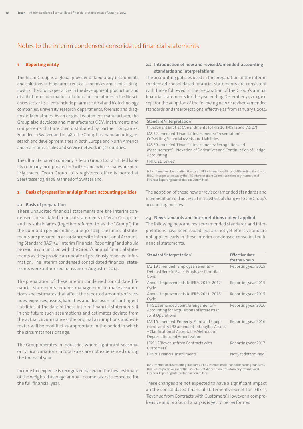# Notes to the interim condensed consolidated financial statements

#### **1 Reporting entity**

The Tecan Group is a global provider of laboratory instruments and solutions in biopharmaceuticals, forensics and clinical diagnostics. The Group specializes in the development, production and distribution of automation solutions forlaboratories in the life sciences sector. Its clients include pharmaceutical and biotechnology companies, university research departments, forensic and diagnostic laboratories. As an original equipment manufacturer, the Group also develops and manufactures OEM instruments and components that are then distributed by partner companies. Founded in Switzerland in 1980, the Group has manufacturing, research and development sites in both Europe and North America and maintains a sales and service network in 52 countries.

The ultimate parent company is Tecan Group Ltd., a limited liability company incorporated in Switzerland, whose shares are publicly traded. Tecan Group Ltd.'s registered office is located at Seestrasse 103, 8708 Männedorf, Switzerland.

#### **2 Basis of preparation and significant accounting policies**

#### **2.1 Basis of preparation**

These unaudited financial statements are the interim condensed consolidated financial statements of Tecan Group Ltd. and its subsidiaries (together referred to as the "Group") for the six-month period ending June 30, 2014.The financial statements are prepared in accordance with International Accounting Standard (IAS) 34"Interim Financial Reporting"and should be read in conjunction with the Group's annual financial statements as they provide an update of previously reported information. The interim condensed consolidated financial statements were authorized for issue on August 11, 2014.

The preparation of these interim condensed consolidated financial statements requires management to make assumptions and estimates that affect the reported amounts of revenues, expenses, assets, liabilities and disclosure of contingent liabilities at the date of these interim financial statements. If in the future such assumptions and estimates deviate from the actual circumstances, the original assumptions and estimates will be modified as appropriate in the period in which the circumstances change.

The Group operates in industries where significant seasonal or cyclical variations in total sales are not experienced during the financial year.

Income tax expense is recognized based on the best estimate of the weighted average annual income tax rate expected for the full financial year.

#### **2.2 Introduction of new and revised/amended accounting standards and interpretations**

The accounting policies used in the preparation of the interim condensed consolidated financial statements are consistent with those followed in the preparation of the Group's annual financial statements for the year ending December 31, 2013, except for the adoption of the following new or revised/amended standards and interpretations, effective as from January 1, 2014:

| Standard/interpretation <sup>1</sup>                                                                                                     |
|------------------------------------------------------------------------------------------------------------------------------------------|
| Investment Entities (Amendments to IFRS 10, IFRS 12 and IAS 27)                                                                          |
| IAS 32 amended 'Financial Instruments: Presentation' -<br>Offsetting Financial Assets and Liabilities                                    |
| IAS 39 amended 'Financial Instruments: Recognition and<br>Measurement' – Novation of Derivatives and Continuation of Hedge<br>Accounting |
| <b>IIFRIC 21 'Levies'</b>                                                                                                                |

<sup>1</sup> IAS = International Accounting Standards, IFRS = International Financial Reporting Standards, IFRIC=Interpretationsasby theIFRSInterpretationsCommittee(formerly International Financial Reporting Interpretations Committee)

The adoption of these new or revised/amended standards and interpretations did not result in substantial changes to the Group's accounting policies.

#### **2.3 New standards and interpretations not yet applied**

The following new and revised/amended standards and interpretations have been issued, but are not yet effective and are not applied early in these interim condensed consolidated financial statements:

| Standard/interpretation <sup>1</sup>                                                                                                                                    | <b>Effective date</b><br>for the Group |
|-------------------------------------------------------------------------------------------------------------------------------------------------------------------------|----------------------------------------|
| IAS 19 amended 'Employee Benefits' -<br>Defined Benefit Plans: Employee Contribu-<br>tions                                                                              | Reporting year 2015                    |
| Annual Improvements to IFRSs 2010 - 2012<br>Cycle                                                                                                                       | Reporting year 2015                    |
| Annual improvements to IFRSs 2011 - 2013<br>Cycle                                                                                                                       | Reporting year 2015                    |
| IFRS 11 amended 'Joint Arrangements' -<br>Accounting for Acquisitions of Interests in<br>Joint Operations                                                               | Reporting year 2016                    |
| IAS 16 amended 'Property, Plant and Equip-<br>ment' and IAS 38 amended 'Intangible Assets'<br>- Clarification of Acceptable Methods of<br>Depreciation and Amortization | Reporting year 2016                    |
| <b>IFRS 15 'Revenue from Contracts with</b><br>Customers'                                                                                                               | Reporting year 2017                    |
| IFRS 9 'Financial Instruments'                                                                                                                                          | Not yet determined                     |

1<br>I IAS = International Accounting Standards, IFRS = International Financial Reporting Standards, IFRIC = Interpretations as by the IFRS Interpretations Committee (formerly International Financial Reporting Interpretations Committee)

These changes are not expected to have a significant impact on the consolidated financial statements except for IFRS 15 'Revenue from Contracts with Customers'. However, a comprehensive and profound analysis is yet to be performed.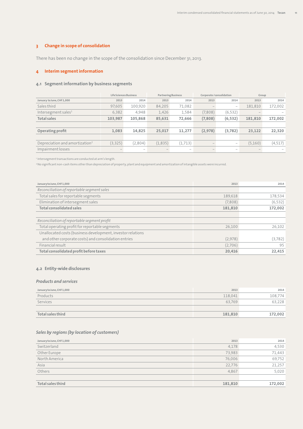## **3 Change in scope of consolidation**

There has been no change in the scope of the consolidation since December 31, 2013.

## **4 Interim segment information**

#### **4.1 Segment information by business segments**

|                                            |         | Life Sciences Business          |          | <b>Partnering Business</b>      |         |                                 |         | Corporate/consolidation |  | Group |  |
|--------------------------------------------|---------|---------------------------------|----------|---------------------------------|---------|---------------------------------|---------|-------------------------|--|-------|--|
| January to June, CHF1,000                  | 2013    | 2014                            | 2013     | 2014                            | 2013    | 2014                            | 2013    | 2014                    |  |       |  |
| Sales third                                | 97,605  | 100,920                         | 84,205   | 71,082                          |         |                                 | 181,810 | 172,002                 |  |       |  |
| Intersegment sales <sup>1</sup>            | 6,382   | 4,948                           | 1,426    | 1,584                           | (7,808) | (6, 532)                        |         |                         |  |       |  |
| <b>Total sales</b>                         | 103.987 | 105,868                         | 85,631   | 72,666                          | (7,808) | (6, 532)                        | 181,810 | 172,002                 |  |       |  |
|                                            |         |                                 |          |                                 |         |                                 |         |                         |  |       |  |
| Operating profit                           | 1.083   | 14,825                          | 25,017   | 11,277                          | (2,978) | (3,782)                         | 23,122  | 22,320                  |  |       |  |
|                                            |         |                                 |          |                                 |         |                                 |         |                         |  |       |  |
| Depreciation and amortization <sup>2</sup> | (3,325) | (2,804)                         | (1, 835) | (1,713)                         |         | $\qquad \qquad -$               | (5,160) | (4,517)                 |  |       |  |
| Impairment losses                          |         | $\hspace{0.1mm}-\hspace{0.1mm}$ |          | $\hspace{0.1mm}-\hspace{0.1mm}$ |         | $\hspace{0.1mm}-\hspace{0.1mm}$ |         |                         |  |       |  |

<sup>1</sup> Intersegment transactions are conducted at arm's length.

<sup>2</sup>No significant non-cash items other than depreciation of property, plant and equipment and amortization of intangible assets were incurred.

| January to June, CHF1,000                                   | 2013    | 2014     |
|-------------------------------------------------------------|---------|----------|
| Reconciliation of reportable segment sales                  |         |          |
| Total sales for reportable segments                         | 189,618 | 178,534  |
| Elimination of intersegment sales                           | (7,808) | (6, 532) |
| <b>Total consolidated sales</b>                             | 181,810 | 172,002  |
|                                                             |         |          |
| Reconciliation of reportable segment profit                 |         |          |
| Total operating profit for reportable segments              | 26,100  | 26.102   |
| Unallocated costs (business development, investor relations |         |          |
| and other corporate costs) and consolidation entries        | (2,978) | (3,782)  |
| Financial result                                            | (2,706) | 95       |
| Total consolidated profit before taxes                      | 20,416  | 22,415   |

## **4.2 Entity-wide disclosures**

#### *Products and services*

| January to June, CHF 1,000 | 2013    | 2014    |
|----------------------------|---------|---------|
| Products                   | 118,041 | 108,774 |
| Services                   | 63,769  | 63,228  |
|                            |         |         |
| Total sales third          | 181,810 | 172,002 |

## *Sales by regions (by location of customers)*

| January to June, CHF 1,000 | 2013    | 2014    |
|----------------------------|---------|---------|
| Switzerland                | 4,178   | 4,530   |
| Other Europe               | 73,983  | 71,443  |
| North America              | 76,006  | 69,752  |
| Asia                       | 22,776  | 21,257  |
| Others                     | 4,867   | 5,020   |
|                            |         |         |
| Total sales third          | 181,810 | 172,002 |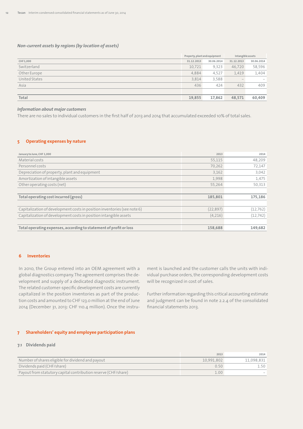#### *Non-current assets by regions (by location of assets)*

|               | Property, plant and equipment |            | Intangible assets |            |
|---------------|-------------------------------|------------|-------------------|------------|
| CHF1,000      | 31.12.2013                    | 30.06.2014 | 31.12.2013        | 30.06.2014 |
| Switzerland   | 10,721                        | 9,323      | 46,720            | 58,596     |
| Other Europe  | 4,884                         | 4,527      | 1,419             | 1,404      |
| United States | 3,814                         | 3,588      |                   |            |
| Asia          | 436                           | 424        | 432               | 409        |
|               |                               |            |                   |            |
| Total         | 19,855<br>17,862<br>48,571    |            | 60,409            |            |

#### *Information about major customers*

There are no sales to individual customers in the first half of 2013 and 2014 that accumulated exceeded 10% of total sales.

#### **5 Operating expenses by nature**

| January to June, CHF 1,000                                               | 2013      | 2014      |
|--------------------------------------------------------------------------|-----------|-----------|
| Material costs                                                           | 55,115    | 48,209    |
| Personnel costs                                                          | 70,262    | 72,147    |
| Depreciation of property, plant and equipment                            | 3,162     | 3,042     |
| Amortization of intangible assets                                        | 1,998     | 1,475     |
| Other operating costs (net)                                              | 55,264    | 50,313    |
|                                                                          |           |           |
| Total operating cost incurred (gross)                                    | 185,801   | 175,186   |
|                                                                          |           |           |
| Capitalization of development costs in position inventories (see note 6) | (22, 897) | (12, 762) |
| Capitalization of development costs in position intangible assets        | (4,216)   | (12, 742) |
|                                                                          |           |           |
| Total operating expenses, according to statement of profit or loss       | 158,688   | 149,682   |

#### **6 Inventories**

In 2010, the Group entered into an OEM agreement with a global diagnostics company.The agreement comprises the development and supply of a dedicated diagnostic instrument. The related customer-specific development costs are currently capitalized in the position inventories as part of the production costs and amounted to CHF 123.0 million at the end of June 2014 (December 31, 2013: CHF 110.4 million). Once the instru-

ment is launched and the customer calls the units with individual purchase orders, the corresponding development costs will be recognized in cost of sales.

Further information regarding this critical accounting estimate and judgment can be found in note 2.2.4 of the consolidated financial statements 2013.

#### **7 Shareholders' equity and employee participation plans**

#### **7.1 Dividends paid**

|                                                                | 2013       | 2014       |
|----------------------------------------------------------------|------------|------------|
| Number of shares eligible for dividend and payout              | 10.991.802 | 11.098.831 |
| Dividends paid (CHF/share)                                     | 0.50       |            |
| Payout from statutory capital contribution reserve (CHF/share) | 1.00       |            |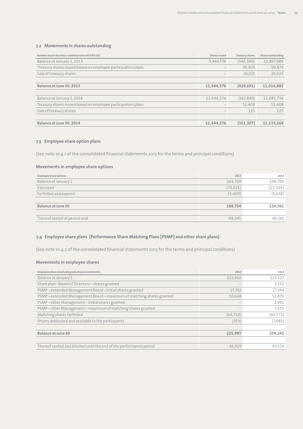# **7.2 Movements in shares outstanding**

| Number (each share has a nominal value of CHF0.10)           | Shares issued                   | <b>Treasury shares</b> | Shares outstanding |
|--------------------------------------------------------------|---------------------------------|------------------------|--------------------|
| Balance at January 1, 2013                                   | 11,444,576                      | (546, 590)             | 10,897,986         |
| Treasury shares issued based on employee participation plans |                                 | 90.874                 | 90.874             |
| Sale of treasury shares                                      | $\hspace{0.1mm}-\hspace{0.1mm}$ | 26.025                 | 26,025             |
|                                                              |                                 |                        |                    |
| Balance at June 30, 2013                                     | 11,444,576                      | (429, 691)             | 11,014,885         |
|                                                              |                                 |                        |                    |
| Balance at January 1, 2014                                   | 11,444,576                      | (362, 840)             | 11,081,736         |
| Treasury shares issued based on employee participation plans |                                 | 51.408                 | 51.408             |
| Sale of treasury shares                                      | $\hspace{0.1mm}-\hspace{0.1mm}$ | 125                    | 125                |
|                                                              |                                 |                        |                    |
| Balance at June 30, 2014                                     | 11,444,576                      | (311, 307)             | 11.133.269         |

## **7.3 Employee share option plans**

(See note 10.4.1 of the consolidated financial statements 2013 for the terms and principal conditions)

## **Movements in employee share options**

| Employee share options       | 2013      | 2014      |
|------------------------------|-----------|-----------|
| Balance at January 1         | 264,769   | 148,704   |
| Exercised                    | (70, 615) | (23, 505) |
| Forfeited and expired        | (5,400)   | (5,638)   |
|                              |           |           |
| Balance at June 30           | 188,754   | 119,561   |
|                              |           |           |
| Thereof vested at period-end | 99,045    | 46,242    |

## **7.4 Employee share plans (Performance Share Matching Plans [PSMP] and other share plans)**

(See note 10.4.2 of the consolidated financial statements 2013 for the terms and principal conditions)

## **Movements in employee shares**

| Employee shares (excluding voluntary investments)                   | 2013     | 2014     |
|---------------------------------------------------------------------|----------|----------|
| Balance at January 1                                                | 222,660  | 223,527  |
| Share plan - Board of Directors - shares granted                    |          | 3.151    |
| PSMP-extended Management Board-initial shares granted               | 17,742   | 17,394   |
| PSMP-extended Management Board-maximum of matching shares granted   | 50,648   | 52,870   |
| PSMP-other Management-initial shares granted                        |          | 2,902    |
| PSMP-other Management-maximum of matching shares granted            |          | 7,255    |
| Matching shares forfeited                                           | (64,710) | (40,772) |
| Shares deblocked and available to the participants                  | (353)    | (7,085)  |
|                                                                     |          |          |
| Balance at June 30                                                  | 225,987  | 259,242  |
|                                                                     |          |          |
| Thereof vested, but blocked until the end of the performance period | 41,919   | 43,514   |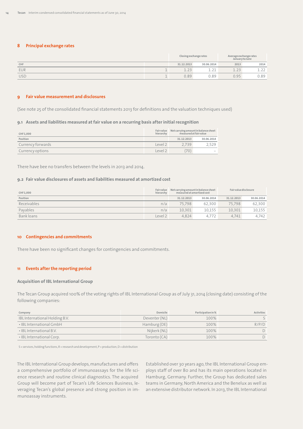#### **8 Principal exchange rates**

|            | Closing exchange rates |                  | Average exchange rates<br>January to June |      |
|------------|------------------------|------------------|-------------------------------------------|------|
| CHF        | 31.12.2013             | 30.06.2014       | 2013                                      | 2014 |
| <b>EUR</b> |                        | $\bigcap$<br>--- | $\cap$                                    |      |
| <b>USD</b> | 0.89                   | 0.89             | 095                                       | J.89 |

#### **9 Fair value measurement and disclosures**

(See note 25 of the consolidated financial statements 2013 for definitions and the valuation techniques used)

#### **9.1 Assets and liabilities measured at fair value on a recurring basis after initial recognition**

| CHF1,000          | hierarchy    | Fair value Net carrying amount in balance sheet<br>measured at fair value |            |
|-------------------|--------------|---------------------------------------------------------------------------|------------|
| Position          |              | 31.12.2013                                                                | 30.06.2014 |
| Currency forwards | Level 2      | 2739                                                                      | 2.529      |
| Currency options  | $ $ evel $2$ | 70)                                                                       |            |

There have bee no transfers between the levels in 2013 and 2014.

#### **9.2 Fair value disclosures of assets and liabilities measured at amortized cost**

| CHF1,000    | hierarchy | Fair value Net carrying amount in balance sheet<br>measured at amortized cost |        | Fair value disclosure |            |
|-------------|-----------|-------------------------------------------------------------------------------|--------|-----------------------|------------|
| Position    |           | 31.12.2013<br>30.06.2014                                                      |        | 31.12.2013            | 30.06.2014 |
| Receivables | n/a       | 75.798                                                                        | 62.300 | 75.798                | 62.300     |
| Payables    | n/a       | 10.301                                                                        | 10.155 | 10.301                | 10,155     |
| Bank loans  | Level 2   | 4.824                                                                         | 4.772  | 4.741                 | 4.742      |

#### **10 Contingencies and commitments**

There have been no significant changes for contingencies and commitments.

#### **11 Events after the reporting period**

#### **Acquisition of IBL International Group**

The Tecan Group acquired 100% of the voting rights of IBL International Group as of July 31, 2014 (closing date) consisting of the following companies:

| Company                        | Domicile      | Participation in % | Activities |
|--------------------------------|---------------|--------------------|------------|
| IBL International Holding B.V. | Deventer (NL) | 100%               |            |
| • IBL International GmbH       | Hamburg (DE)  | 100%               | R/P/D      |
| . IBL International B.V.       | Nijkerk (NL)  | 100%               |            |
| • IBL International Corp.      | Toronto (CA)  | 100%               |            |

S=services,holdingfunctions,R=researchanddevelopment,P=production,D=distribution

The IBL International Group develops, manufactures and offers a comprehensive portfolio of immunoassays for the life science research and routine clinical diagnostics. The acquired Group will become part of Tecan's Life Sciences Business, leveraging Tecan's global presence and strong position in immunoassay instruments.

Established over 30 years ago,the IBL International Group employs staff of over 80 and has its main operations located in Hamburg, Germany. Further, the Group has dedicated sales teams in Germany, North America and the Benelux as well as an extensive distributor network. In 2013, the IBL International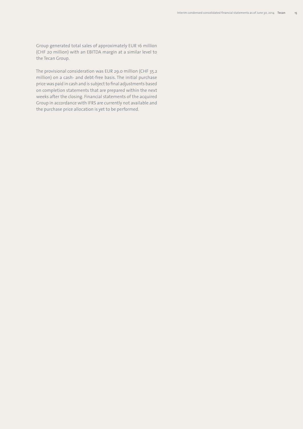Group generated total sales of approximately EUR 16 million (CHF 20 million) with an EBITDA margin at a similar level to the Tecan Group.

The provisional consideration was EUR 29.0 million (CHF 35.2 million) on a cash- and debt-free basis. The initial purchase price was paid in cash and is subject to final adjustments based on completion statements that are prepared within the next weeks after the closing. Financial statements of the acquired Group in accordance with IFRS are currently not available and the purchase price allocation is yet to be performed.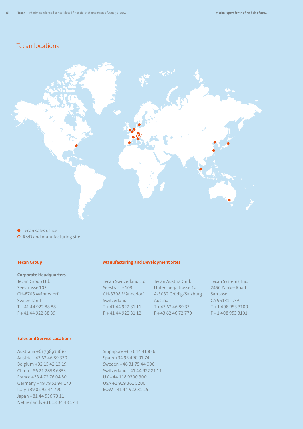# Tecan locations



● Tecan sales office

 R&D and manufacturing site

#### **Tecan Group**

#### **Corporate Headquarters**

Tecan Group Ltd. Seestrasse 103 CH-8708 Männedorf Switzerland T +41 44 922 88 88 F +41 44 922 88 89

#### **Sales and Service Locations**

Australia +61 7 3897 1616 Austria +43 62 46 89 330 Belgium +32 15 42 13 19 China +86 21 2898 6333 France +33 4 72 76 04 80 Germany +49 79 51 94 170 Italy +39 02 92 44 790 Japan +81 44 556 73 11 Netherlands +31 18 34 48 17 4

#### **Manufacturing and Development Sites**

Tecan Switzerland Ltd. Seestrasse 103 CH-8708 Männedorf Switzerland T +41 44 922 81 11  $F + 41 44 922 81 12$ 

Singapore +65 644 41 886 Spain +34 93 490 01 74 Sweden +46 31 75 44 000 Switzerland +41 44 922 81 11 UK +44 118 9300 300 USA +1 919 361 5200 ROW +41 44 922 81 25

Tecan Austria GmbH Untersbergstrasse 1a A-5082 Grödig/Salzburg Austria  $T + 4362468933$ F +43 62 46 72 770

Tecan Systems, Inc. 2450 Zanker Road San Jose CA 95131,USA T +1 408 953 3100 F +1 408 953 3101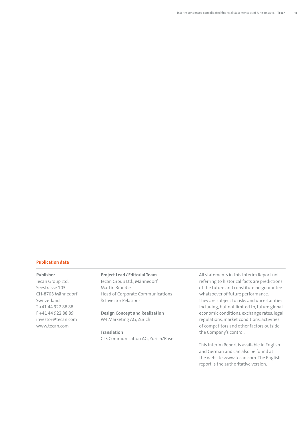#### **Publication data**

#### **Publisher**

Tecan Group Ltd. Seestrasse 103 CH-8708 Männedorf Switzerland T +41 44 922 88 88 F +41 44 922 88 89 investor@tecan.com www.tecan.com

# **Project Lead/ Editorial Team**

Tecan Group Ltd., Männedorf Martin Brändle Head of Corporate Communications & Investor Relations

#### **Design Concept and Realization** W4 Marketing AG, Zurich

**Translation** CLS Communication AG, Zurich/Basel All statements in this Interim Report not referring to historical facts are predictions of the future and constitute no guarantee whatsoever of future performance. They are subject to risks and uncertainties including, but not limited to, future global economic conditions, exchange rates, legal regulations, market conditions, activities of competitors and other factors outside the Company's control.

This Interim Report is available in English and German and can also be found at the website www.tecan.com.The English report is the authoritative version.